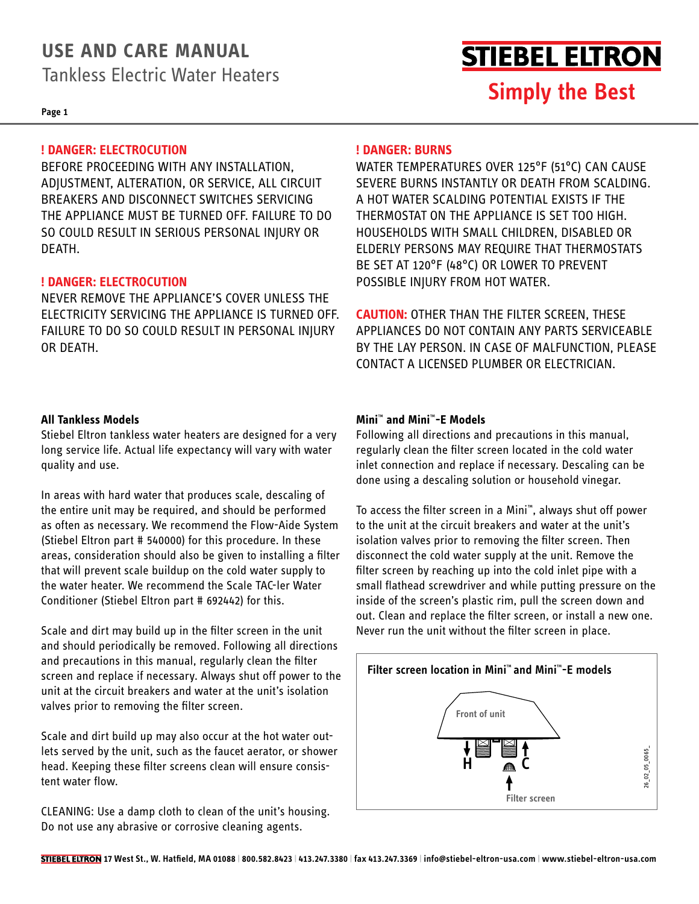### **USE AND CARE MANUAL**

Tankless Electric Water Heaters

**Page 1**

### **! DANGER: ELECTROCUTION**

BEFORE PROCEEDING WITH ANY INSTALLATION, ADJUSTMENT, ALTERATION, OR SERVICE, ALL CIRCUIT BREAKERS AND DISCONNECT SWITCHES SERVICING THE APPLIANCE MUST BE TURNED OFF. FAILURE TO DO SO COULD RESULT IN SERIOUS PERSONAL INJURY OR DEATH.

### **! DANGER: ELECTROCUTION**

NEVER REMOVE THE APPLIANCE'S COVER UNLESS THE ELECTRICITY SERVICING THE APPLIANCE IS TURNED OFF. FAILURE TO DO SO COULD RESULT IN PERSONAL INJURY OR DEATH.

### **! DANGER: BURNS**

WATER TEMPERATURES OVER 125°F (51°C) CAN CAUSE SEVERE BURNS INSTANTLY OR DEATH FROM SCALDING. A HOT WATER SCALDING POTENTIAL EXISTS IF THE THERMOSTAT ON THE APPLIANCE IS SET TOO HIGH. HOUSEHOLDS WITH SMALL CHILDREN, DISABLED OR ELDERLY PERSONS MAY REQUIRE THAT THERMOSTATS BE SET AT 120°F (48°C) OR LOWER TO PREVENT POSSIBLE INJURY FROM HOT WATER.

**Simply the Best**

**STIEBEL ELTRON** 

**CAUTION:** OTHER THAN THE FILTER SCREEN, THESE APPLIANCES DO NOT CONTAIN ANY PARTS SERVICEABLE BY THE LAY PERSON. IN CASE OF MALFUNCTION, PLEASE CONTACT A LICENSED PLUMBER OR ELECTRICIAN.

### **All Tankless Models**

Stiebel Eltron tankless water heaters are designed for a very long service life. Actual life expectancy will vary with water quality and use.

In areas with hard water that produces scale, descaling of the entire unit may be required, and should be performed as often as necessary. We recommend the Flow-Aide System (Stiebel Eltron part # 540000) for this procedure. In these areas, consideration should also be given to installing a filter that will prevent scale buildup on the cold water supply to the water heater. We recommend the Scale TAC-ler Water Conditioner (Stiebel Eltron part # 692442) for this.

Scale and dirt may build up in the filter screen in the unit and should periodically be removed. Following all directions and precautions in this manual, regularly clean the filter screen and replace if necessary. Always shut off power to the unit at the circuit breakers and water at the unit's isolation valves prior to removing the filter screen.

Scale and dirt build up may also occur at the hot water outlets served by the unit, such as the faucet aerator, or shower head. Keeping these filter screens clean will ensure consistent water flow.

CLEANING: Use a damp cloth to clean of the unit's housing. Do not use any abrasive or corrosive cleaning agents.

### **Mini**™ **and Mini**™**-E Models**

Following all directions and precautions in this manual, regularly clean the filter screen located in the cold water inlet connection and replace if necessary. Descaling can be done using a descaling solution or household vinegar.

To access the filter screen in a Mini™, always shut off power to the unit at the circuit breakers and water at the unit's isolation valves prior to removing the filter screen. Then disconnect the cold water supply at the unit. Remove the filter screen by reaching up into the cold inlet pipe with a small flathead screwdriver and while putting pressure on the inside of the screen's plastic rim, pull the screen down and out. Clean and replace the filter screen, or install a new one. Never run the unit without the filter screen in place.

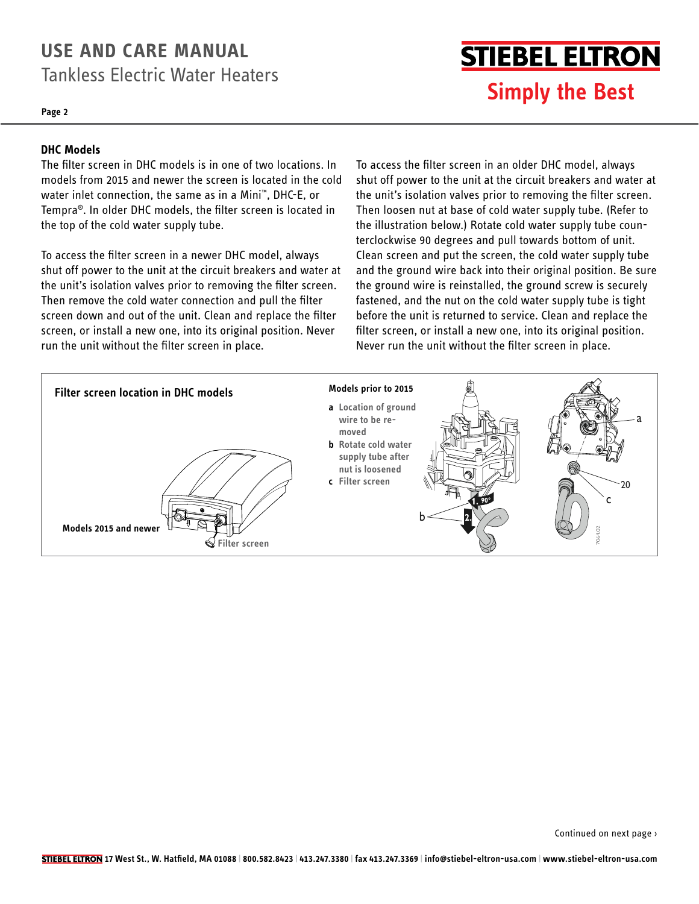### **USE AND CARE MANUAL** Tankless Electric Water Heaters

**Page 2**

## **STIEBEL ELTRON Simply the Best**

#### **DHC Models**

The filter screen in DHC models is in one of two locations. In models from 2015 and newer the screen is located in the cold water inlet connection, the same as in a Mini™, DHC-E, or Tempra®. In older DHC models, the filter screen is located in the top of the cold water supply tube.

shat on power to the annear the chealt steakers and water at<br>the unit's isolation valves prior to removing the filter screen. To access the filter screen in a newer DHC model, always shut off power to the unit at the circuit breakers and water at Then remove the cold water connection and pull the filter screen down and out of the unit. Clean and replace the filter screen, or install a new one, into its original position. Never run the unit without the filter screen in place.

To access the filter screen in an older DHC model, always shut off power to the unit at the circuit breakers and water at the unit's isolation valves prior to removing the filter screen. Then loosen nut at base of cold water supply tube. (Refer to the illustration below.) Rotate cold water supply tube counterclockwise 90 degrees and pull towards bottom of unit. Clean screen and put the screen, the cold water supply tube and the ground wire back into their original position. Be sure the ground wire is reinstalled, the ground screw is securely fastened, and the nut on the cold water supply tube is tight before the unit is returned to service. Clean and replace the filter screen, or install a new one, into its original position.  Never run the unit without the filter screen in place.